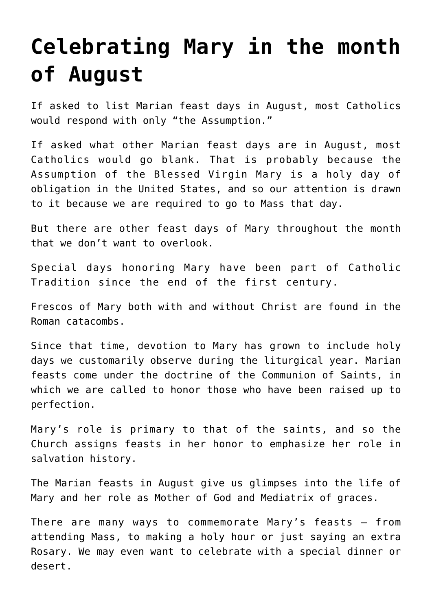# **[Celebrating Mary in the month](https://www.osvnews.com/2014/07/30/celebrating-mary-in-the-month-of-august/) [of August](https://www.osvnews.com/2014/07/30/celebrating-mary-in-the-month-of-august/)**

If asked to list Marian feast days in August, most Catholics would respond with only "the Assumption."

If asked what other Marian feast days are in August, most Catholics would go blank. That is probably because the Assumption of the Blessed Virgin Mary is a holy day of obligation in the United States, and so our attention is drawn to it because we are required to go to Mass that day.

But there are other feast days of Mary throughout the month that we don't want to overlook.

Special days honoring Mary have been part of Catholic Tradition since the end of the first century.

Frescos of Mary both with and without Christ are found in the Roman catacombs.

Since that time, devotion to Mary has grown to include holy days we customarily observe during the liturgical year. Marian feasts come under the doctrine of the Communion of Saints, in which we are called to honor those who have been raised up to perfection.

Mary's role is primary to that of the saints, and so the Church assigns feasts in her honor to emphasize her role in salvation history.

The Marian feasts in August give us glimpses into the life of Mary and her role as Mother of God and Mediatrix of graces.

There are many ways to commemorate Mary's feasts — from attending Mass, to making a holy hour or just saying an extra Rosary. We may even want to celebrate with a special dinner or desert.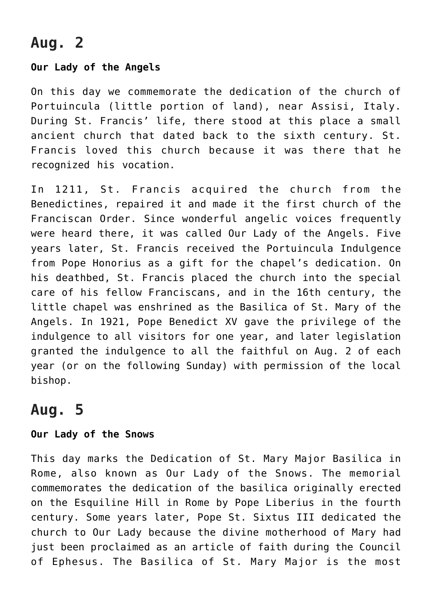# **Aug. 2**

## **Our Lady of the Angels**

On this day we commemorate the dedication of the church of Portuincula (little portion of land), near Assisi, Italy. During St. Francis' life, there stood at this place a small ancient church that dated back to the sixth century. St. Francis loved this church because it was there that he recognized his vocation.

In 1211, St. Francis acquired the church from the Benedictines, repaired it and made it the first church of the Franciscan Order. Since wonderful angelic voices frequently were heard there, it was called Our Lady of the Angels. Five years later, St. Francis received the Portuincula Indulgence from Pope Honorius as a gift for the chapel's dedication. On his deathbed, St. Francis placed the church into the special care of his fellow Franciscans, and in the 16th century, the little chapel was enshrined as the Basilica of St. Mary of the Angels. In 1921, Pope Benedict XV gave the privilege of the indulgence to all visitors for one year, and later legislation granted the indulgence to all the faithful on Aug. 2 of each year (or on the following Sunday) with permission of the local bishop.

# **Aug. 5**

#### **Our Lady of the Snows**

This day marks the Dedication of St. Mary Major Basilica in Rome, also known as Our Lady of the Snows. The memorial commemorates the dedication of the basilica originally erected on the Esquiline Hill in Rome by Pope Liberius in the fourth century. Some years later, Pope St. Sixtus III dedicated the church to Our Lady because the divine motherhood of Mary had just been proclaimed as an article of faith during the Council of Ephesus. The Basilica of St. Mary Major is the most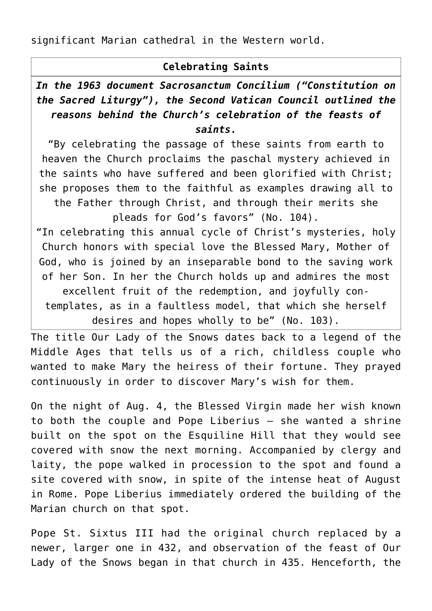significant Marian cathedral in the Western world.

### **Celebrating Saints**

## *In the 1963 document Sacrosanctum Concilium ("Constitution on the Sacred Liturgy"), the Second Vatican Council outlined the reasons behind the Church's celebration of the feasts of saints.*

"By celebrating the passage of these saints from earth to heaven the Church proclaims the paschal mystery achieved in the saints who have suffered and been glorified with Christ; she proposes them to the faithful as examples drawing all to the Father through Christ, and through their merits she pleads for God's favors" (No. 104). "In celebrating this annual cycle of Christ's mysteries, holy

Church honors with special love the Blessed Mary, Mother of God, who is joined by an inseparable bond to the saving work of her Son. In her the Church holds up and admires the most excellent fruit of the redemption, and joyfully contemplates, as in a faultless model, that which she herself desires and hopes wholly to be" (No. 103).

The title Our Lady of the Snows dates back to a legend of the Middle Ages that tells us of a rich, childless couple who wanted to make Mary the heiress of their fortune. They prayed continuously in order to discover Mary's wish for them.

On the night of Aug. 4, the Blessed Virgin made her wish known to both the couple and Pope Liberius — she wanted a shrine built on the spot on the Esquiline Hill that they would see covered with snow the next morning. Accompanied by clergy and laity, the pope walked in procession to the spot and found a site covered with snow, in spite of the intense heat of August in Rome. Pope Liberius immediately ordered the building of the Marian church on that spot.

Pope St. Sixtus III had the original church replaced by a newer, larger one in 432, and observation of the feast of Our Lady of the Snows began in that church in 435. Henceforth, the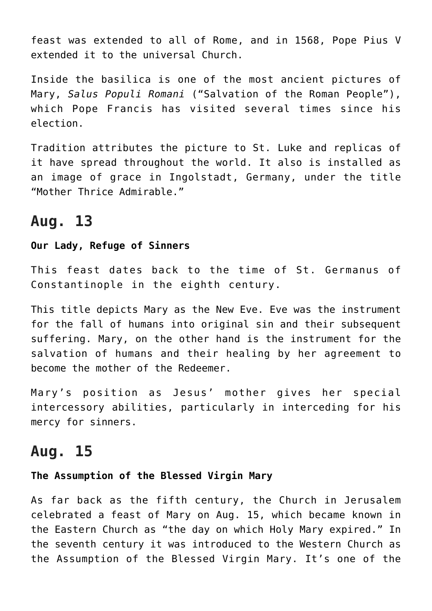feast was extended to all of Rome, and in 1568, Pope Pius V extended it to the universal Church.

Inside the basilica is one of the most ancient pictures of Mary, *Salus Populi Romani* ("Salvation of the Roman People"), which Pope Francis has visited several times since his election.

Tradition attributes the picture to St. Luke and replicas of it have spread throughout the world. It also is installed as an image of grace in Ingolstadt, Germany, under the title "Mother Thrice Admirable."

## **Aug. 13**

#### **Our Lady, Refuge of Sinners**

This feast dates back to the time of St. Germanus of Constantinople in the eighth century.

This title depicts Mary as the New Eve. Eve was the instrument for the fall of humans into original sin and their subsequent suffering. Mary, on the other hand is the instrument for the salvation of humans and their healing by her agreement to become the mother of the Redeemer.

Mary's position as Jesus' mother gives her special intercessory abilities, particularly in interceding for his mercy for sinners.

## **Aug. 15**

#### **The Assumption of the Blessed Virgin Mary**

As far back as the fifth century, the Church in Jerusalem celebrated a feast of Mary on Aug. 15, which became known in the Eastern Church as "the day on which Holy Mary expired." In the seventh century it was introduced to the Western Church as the Assumption of the Blessed Virgin Mary. It's one of the